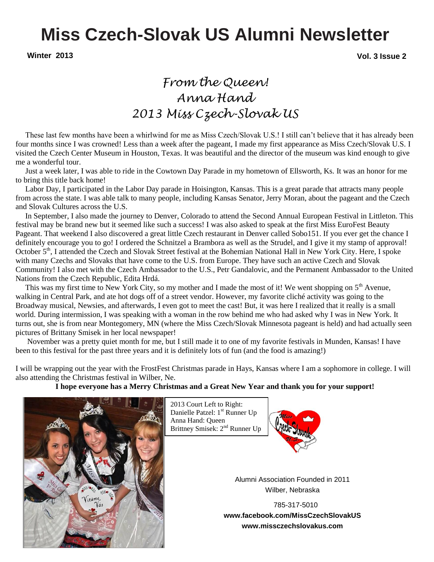## **Miss Czech-Slovak US Alumni Newsletter**

**Winter 2013 Vol. 3 Issue 2**

### *From the Queen! Anna Hand 2013 Miss Czech-Slovak US*

 These last few months have been a whirlwind for me as Miss Czech/Slovak U.S.! I still can't believe that it has already been four months since I was crowned! Less than a week after the pageant, I made my first appearance as Miss Czech/Slovak U.S. I visited the Czech Center Museum in Houston, Texas. It was beautiful and the director of the museum was kind enough to give me a wonderful tour.

 Just a week later, I was able to ride in the Cowtown Day Parade in my hometown of Ellsworth, Ks. It was an honor for me to bring this title back home!

 Labor Day, I participated in the Labor Day parade in Hoisington, Kansas. This is a great parade that attracts many people from across the state. I was able talk to many people, including Kansas Senator, Jerry Moran, about the pageant and the Czech and Slovak Cultures across the U.S.

 In September, I also made the journey to Denver, Colorado to attend the Second Annual European Festival in Littleton. This festival may be brand new but it seemed like such a success! I was also asked to speak at the first Miss EuroFest Beauty Pageant. That weekend I also discovered a great little Czech restaurant in Denver called Sobo151. If you ever get the chance I definitely encourage you to go! I ordered the Schnitzel a Brambora as well as the Strudel, and I give it my stamp of approval! October 5<sup>th</sup>, I attended the Czech and Slovak Street festival at the Bohemian National Hall in New York City. Here, I spoke with many Czechs and Slovaks that have come to the U.S. from Europe. They have such an active Czech and Slovak Community! I also met with the Czech Ambassador to the U.S., Petr Gandalovic, and the Permanent Ambassador to the United Nations from the Czech Republic, Edita Hrdá.

This was my first time to New York City, so my mother and I made the most of it! We went shopping on  $5<sup>th</sup>$  Avenue, walking in Central Park, and ate hot dogs off of a street vendor. However, my favorite cliché activity was going to the Broadway musical, Newsies, and afterwards, I even got to meet the cast! But, it was here I realized that it really is a small world. During intermission, I was speaking with a woman in the row behind me who had asked why I was in New York. It turns out, she is from near Montegomery, MN (where the Miss Czech/Slovak Minnesota pageant is held) and had actually seen pictures of Brittany Smisek in her local newspaper!

 November was a pretty quiet month for me, but I still made it to one of my favorite festivals in Munden, Kansas! I have been to this festival for the past three years and it is definitely lots of fun (and the food is amazing!)

I will be wrapping out the year with the FrostFest Christmas parade in Hays, Kansas where I am a sophomore in college. I will also attending the Christmas festival in Wilber, Ne.

#### **I hope everyone has a Merry Christmas and a Great New Year and thank you for your support!**



 2013 Court Left to Right: Danielle Patzel: 1<sup>st</sup> Runner Up Anna Hand: Queen Brittney Smisek: 2<sup>nd</sup> Runner Up



Alumni Association Founded in 2011 Wilber, Nebraska

**P** 785-317-5010 **www.facebook.com/MissCzechSlovakUS www.missczechslovakus.com**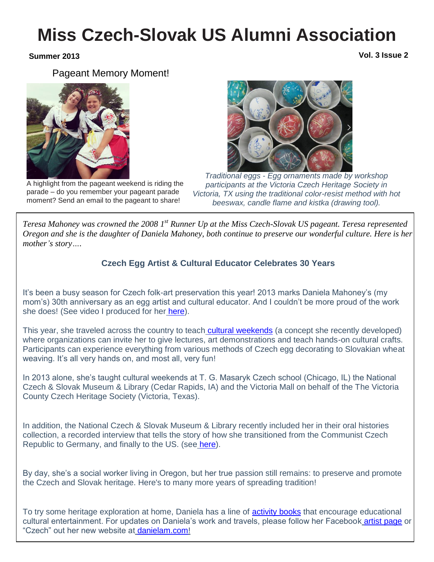## **Miss Czech-Slovak US Alumni Association**

**Summer 2013 Vol. 3 Issue 2**

Pageant Memory Moment!





A highlight from the pageant weekend is riding the parade – do you remember your pageant parade moment? Send an email to the pageant to share!

*Traditional eggs - Egg ornaments made by workshop participants at the Victoria Czech Heritage Society in Victoria, TX using the traditional color-resist method with hot beeswax, candle flame and kistka (drawing tool).*

*Teresa Mahoney was crowned the 2008 1 st Runner Up at the Miss Czech-Slovak US pageant. Teresa represented Oregon and she is the daughter of Daniela Mahoney, both continue to preserve our wonderful culture. Here is her mother's story….* 

#### **Czech Egg Artist & Cultural Educator Celebrates 30 Years**

It's been a busy season for Czech folk-art preservation this year! 2013 marks Daniela Mahoney's (my mom's) 30th anniversary as an egg artist and cultural educator. And I couldn't be more proud of the work she does! (See video I produced for her [here\)](http://www.youtube.com/watch?v=Vbi2rP2Z3ls).

This year, she traveled across the country to teach [cultural weekends](http://www.danielam.com/cultural-weekend-and-fundraising-for-non-profit-organizations-with-daniela-m/) (a concept she recently developed) where organizations can invite her to give lectures, art demonstrations and teach hands-on cultural crafts. Participants can experience everything from various methods of Czech egg decorating to Slovakian wheat weaving. It's all very hands on, and most all, very fun!

In 2013 alone, she's taught cultural weekends at T. G. Masaryk Czech school (Chicago, IL) the National Czech & Slovak Museum & Library (Cedar Rapids, IA) and the Victoria Mall on behalf of the The Victoria County Czech Heritage Society (Victoria, Texas).

In addition, the National Czech & Slovak Museum & Library recently included her in their oral histories collection, a recorded interview that tells the story of how she transitioned from the Communist Czech Republic to Germany, and finally to the US. (see [here\)](http://ncsml.informaticsinc.net/Oral-History/All-Interviews/20130717/312/Mahoney-Daniela.aspx).

By day, she's a social worker living in Oregon, but her true passion still remains: to preserve and promote the Czech and Slovak heritage. Here's to many more years of spreading tradition!

To try some heritage exploration at home, Daniela has a line of [activity books](http://www.danielam.com/books/) that encourage educational cultural entertainment. For updates on Daniela's work and travels, please follow her Facebook [artist page](https://www.facebook.com/DanielaMahoney1) or "Czech" out her new website at [danielam.com!](http://www.danielam.com/)